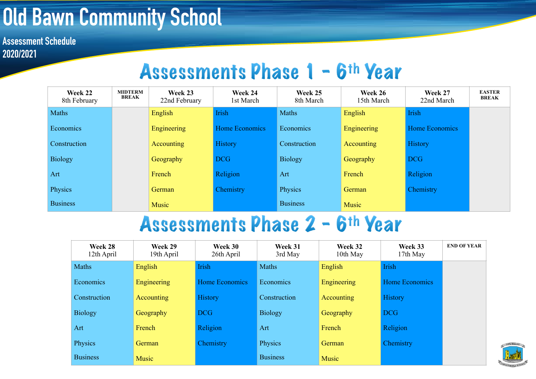## **Old Bawn Community School**

**Assessment Schedule 2020/2021**

## Assessments Phase 1 - 6th Year

| Week 22<br>8th February | <b>MIDTERM</b><br>BREAK | Week 23<br>22nd February | Week 24<br>1st March  | Week 25<br>8th March | Week 26<br>15th March | Week 27<br>22nd March | <b>EASTER</b><br><b>BREAK</b> |
|-------------------------|-------------------------|--------------------------|-----------------------|----------------------|-----------------------|-----------------------|-------------------------------|
| Maths                   |                         | English                  | Irish                 | Maths                | English               | Irish                 |                               |
| Economics               |                         | Engineering              | <b>Home Economics</b> | Economics            | Engineering           | Home Economics        |                               |
| Construction            |                         | <b>Accounting</b>        | <b>History</b>        | Construction         | Accounting            | History               |                               |
| <b>Biology</b>          |                         | Geography                | <b>DCG</b>            | <b>Biology</b>       | Geography             | <b>DCG</b>            |                               |
| Art                     |                         | French                   | Religion              | Art                  | French                | Religion              |                               |
| Physics                 |                         | German                   | Chemistry             | Physics              | German                | Chemistry             |                               |
| <b>Business</b>         |                         | <b>Music</b>             |                       | <b>Business</b>      | <b>Music</b>          |                       |                               |

## Assessments Phase 2 - 6th Year

| Week 28<br>12th April | Week 29<br>19th April | Week 30<br>26th April | Week 31<br>3rd May | Week 32<br>10th May | Week 33<br>17th May | <b>END OF YEAR</b> |
|-----------------------|-----------------------|-----------------------|--------------------|---------------------|---------------------|--------------------|
| Maths                 | English               | <b>Irish</b>          | Maths              | English             | Irish               |                    |
| Economics             | Engineering           | Home Economics        | Economics          | <b>Engineering</b>  | Home Economics      |                    |
| Construction          | Accounting            | <b>History</b>        | Construction       | Accounting          | <b>History</b>      |                    |
| <b>Biology</b>        | Geography             | <b>DCG</b>            | <b>Biology</b>     | Geography           | <b>DCG</b>          |                    |
| Art                   | French                | Religion              | Art                | French              | Religion            |                    |
| Physics               | German                | Chemistry             | Physics            | German              | Chemistry           |                    |
| <b>Business</b>       | Music                 |                       | <b>Business</b>    | Music               |                     |                    |

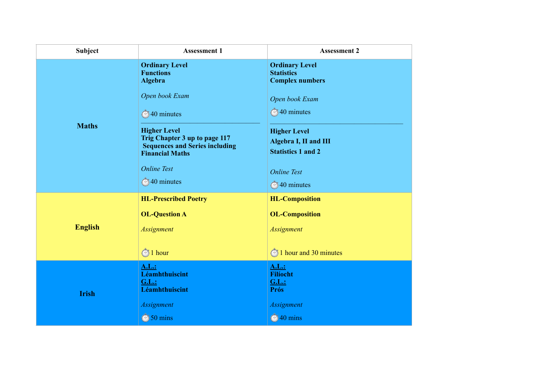| <b>Subject</b> | <b>Assessment 1</b>                                                                                                     | <b>Assessment 2</b>                                                       |
|----------------|-------------------------------------------------------------------------------------------------------------------------|---------------------------------------------------------------------------|
|                | <b>Ordinary Level</b><br><b>Functions</b><br>Algebra                                                                    | <b>Ordinary Level</b><br><b>Statistics</b><br><b>Complex numbers</b>      |
|                | Open book Exam                                                                                                          | Open book Exam                                                            |
|                | <b>340 minutes</b>                                                                                                      | <b>340 minutes</b>                                                        |
| <b>Maths</b>   | <b>Higher Level</b><br>Trig Chapter 3 up to page 117<br><b>Sequences and Series including</b><br><b>Financial Maths</b> | <b>Higher Level</b><br>Algebra I, II and III<br><b>Statistics 1 and 2</b> |
|                | <b>Online Test</b>                                                                                                      | <b>Online Test</b>                                                        |
|                | <b>340 minutes</b>                                                                                                      | <b>340 minutes</b>                                                        |
| <b>English</b> | <b>HL-Prescribed Poetry</b>                                                                                             | <b>HL-Composition</b>                                                     |
|                | <b>OL-Question A</b>                                                                                                    | <b>OL-Composition</b>                                                     |
|                | <b>Assignment</b>                                                                                                       | <b>Assignment</b>                                                         |
|                | $\bigcirc$ 1 hour                                                                                                       | <b>1</b> hour and 30 minutes                                              |
|                | <b>A.L.:</b><br>Léamhthuiscint                                                                                          | A.L.:<br>Filíocht                                                         |
|                | <b>G.L.:</b><br>Léamhthuiscint                                                                                          | <b>G.L.:</b><br><b>Prós</b>                                               |
| <b>Irish</b>   | <b>Assignment</b>                                                                                                       | Assignment                                                                |
|                | $\circledcirc$ 50 mins                                                                                                  | <b>10</b> mins                                                            |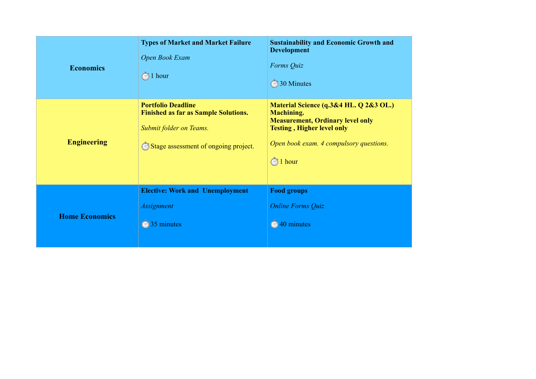| <b>Economics</b>      | <b>Types of Market and Market Failure</b><br>Open Book Exam<br>$\otimes$ 1 hour                                                             | <b>Sustainability and Economic Growth and</b><br><b>Development</b><br>Forms Quiz<br>30 Minutes                                                                                                                |
|-----------------------|---------------------------------------------------------------------------------------------------------------------------------------------|----------------------------------------------------------------------------------------------------------------------------------------------------------------------------------------------------------------|
| <b>Engineering</b>    | <b>Portfolio Deadline</b><br><b>Finished as far as Sample Solutions.</b><br>Submit folder on Teams.<br>Stage assessment of ongoing project. | Material Science (q.3&4 HL. Q 2&3 OL.)<br><b>Machining.</b><br><b>Measurement, Ordinary level only</b><br><b>Testing, Higher level only</b><br>Open book exam. 4 compulsory questions.<br>$\bigcirc$<br>1 hour |
| <b>Home Economics</b> | <b>Elective: Work and Unemployment</b><br><b>Assignment</b><br>35 minutes                                                                   | <b>Food groups</b><br><b>Online Forms Quiz</b><br>40 minutes<br>$\circledcirc$                                                                                                                                 |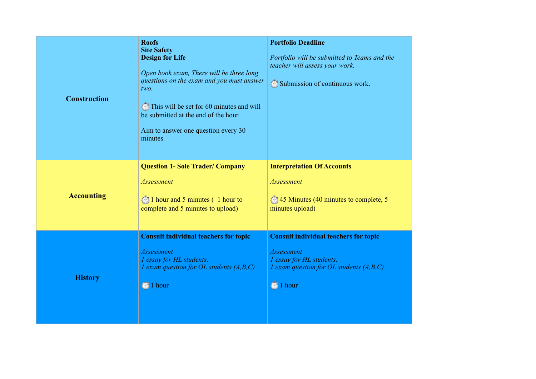| <b>Construction</b> | <b>Roofs</b><br><b>Site Safety</b><br><b>Design for Life</b><br>Open book exam, There will be three long<br>questions on the exam and you must answer<br>two.<br>This will be set for 60 minutes and will<br>be submitted at the end of the hour.<br>Aim to answer one question every 30<br>minutes. | <b>Portfolio Deadline</b><br>Portfolio will be submitted to Teams and the<br>teacher will assess your work.<br>Submission of continuous work.                        |
|---------------------|------------------------------------------------------------------------------------------------------------------------------------------------------------------------------------------------------------------------------------------------------------------------------------------------------|----------------------------------------------------------------------------------------------------------------------------------------------------------------------|
| <b>Accounting</b>   | <b>Question 1- Sole Trader/ Company</b><br>Assessment<br>1 hour and 5 minutes (1 hour to<br>complete and 5 minutes to upload)                                                                                                                                                                        | <b>Interpretation Of Accounts</b><br><b>Assessment</b><br><b>345 Minutes (40 minutes to complete, 5</b> )<br>minutes upload)                                         |
| <b>History</b>      | <b>Consult individual teachers for topic</b><br><b>Assessment</b><br>1 essay for HL students:<br>1 exam question for OL students $(A,B,C)$<br>1 hour<br>$\curvearrowright$                                                                                                                           | <b>Consult individual teachers for topic</b><br><b>Assessment</b><br>1 essay for HL students:<br>1 exam question for OL students $(A,B,C)$<br>1 hour<br>$\mathbb{Z}$ |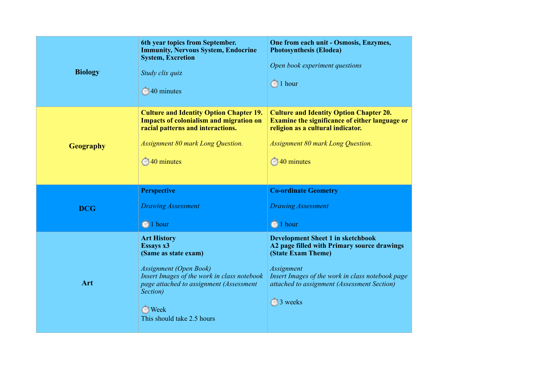| <b>Biology</b>   | 6th year topics from September.<br><b>Immunity, Nervous System, Endocrine</b><br><b>System, Excretion</b><br>Study clix quiz<br>◯40 minutes                                                            | One from each unit - Osmosis, Enzymes,<br><b>Photosynthesis (Elodea)</b><br>Open book experiment questions<br>$\circled{1}$ hour                                                                               |
|------------------|--------------------------------------------------------------------------------------------------------------------------------------------------------------------------------------------------------|----------------------------------------------------------------------------------------------------------------------------------------------------------------------------------------------------------------|
| <b>Geography</b> | <b>Culture and Identity Option Chapter 19.</b><br><b>Impacts of colonialism and migration on</b><br>racial patterns and interactions.<br><b>Assignment 80 mark Long Question.</b><br><b>10</b> minutes | <b>Culture and Identity Option Chapter 20.</b><br><b>Examine the significance of either language or</b><br>religion as a cultural indicator.<br><b>Assignment 80 mark Long Question.</b><br><b>140</b> minutes |
|                  | <b>Perspective</b>                                                                                                                                                                                     | <b>Co-ordinate Geometry</b>                                                                                                                                                                                    |
| <b>DCG</b>       | <b>Drawing Assessment</b><br>$\bigcirc$ 1 hour                                                                                                                                                         | <b>Drawing Assessment</b><br>$\bigcirc$ 1 hour                                                                                                                                                                 |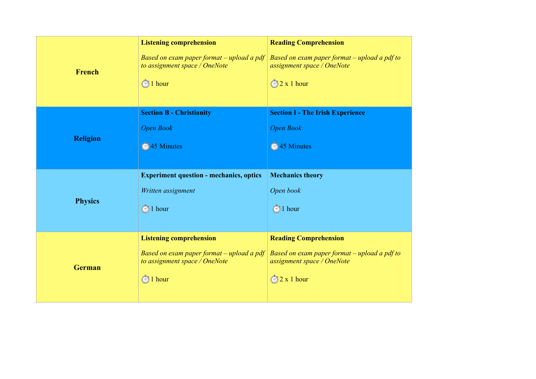|                 | <b>Listening comprehension</b>                                             | <b>Reading Comprehension</b>                                               |  |
|-----------------|----------------------------------------------------------------------------|----------------------------------------------------------------------------|--|
| French          | Based on exam paper format – upload a pdf<br>to assignment space / OneNote | Based on exam paper format – upload a pdf to<br>assignment space / OneNote |  |
|                 | $\otimes$ 1 hour                                                           | $\bigotimes$ 2 x 1 hour                                                    |  |
|                 | <b>Section B - Christianity</b>                                            | <b>Section I - The Irish Experience</b>                                    |  |
|                 | <b>Open Book</b>                                                           | <b>Open Book</b>                                                           |  |
| <b>Religion</b> | <sup>2</sup> / <sub>45</sub> Minutes                                       | <sup>2</sup> 45 Minutes                                                    |  |
|                 |                                                                            |                                                                            |  |
|                 | <b>Experiment question - mechanics, optics</b>                             | <b>Mechanics theory</b>                                                    |  |
|                 | Written assignment                                                         | Open book                                                                  |  |
| <b>Physics</b>  | $\bigcirc$ 1 hour                                                          | $\bigcirc$ 1 hour                                                          |  |
|                 |                                                                            |                                                                            |  |
|                 | <b>Listening comprehension</b>                                             | <b>Reading Comprehension</b>                                               |  |
| <b>German</b>   | Based on exam paper format – upload a pdf<br>to assignment space / OneNote | Based on exam paper format – upload a pdf to<br>assignment space / OneNote |  |
|                 | $\bigcirc$ 1 hour                                                          | $\bigotimes$ 2 x 1 hour                                                    |  |
|                 |                                                                            |                                                                            |  |